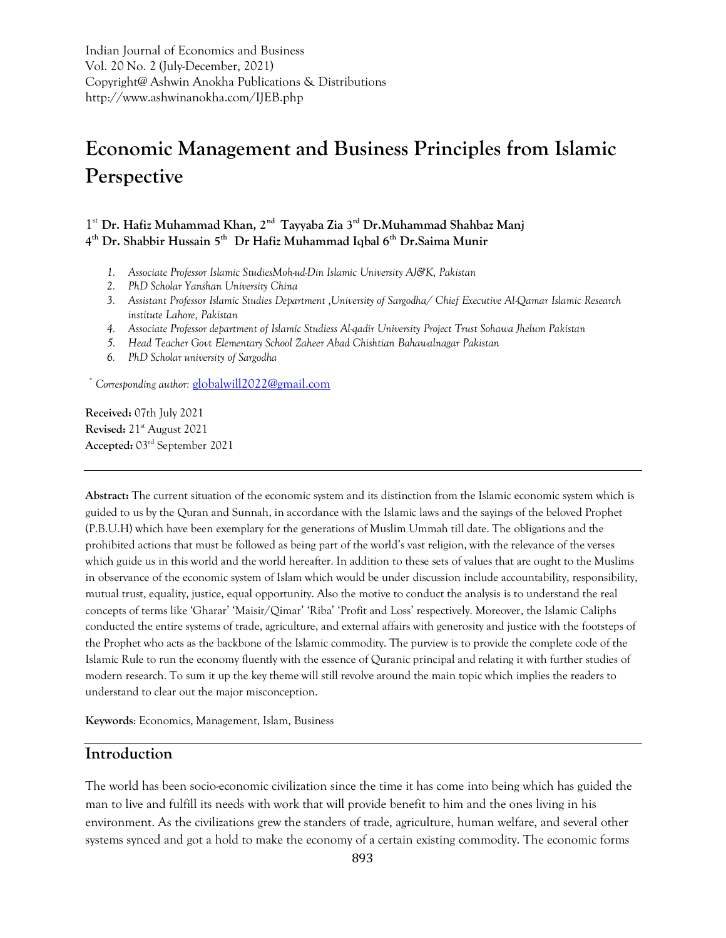Indian Journal of Economics and Business Vol. 20 No. 2 (July-December, 2021) Copyright@ Ashwin Anokha Publications & Distributions http://www.ashwinanokha.com/IJEB.php

# **Economic Management and Business Principles from Islamic Perspective**

1 st **Dr. Hafiz Muhammad Khan, 2nd Tayyaba Zia 3rd Dr.Muhammad Shahbaz Manj 4 th Dr. Shabbir Hussain 5th Dr Hafiz Muhammad Iqbal 6th Dr.Saima Munir** 

- *1. Associate Professor Islamic StudiesMoh-ud-Din Islamic University AJ&K, Pakistan*
- *2. PhD Scholar Yanshan University China*
- *3. Assistant Professor Islamic Studies Department ,University of Sargodha/ Chief Executive Al-Qamar Islamic Research institute Lahore, Pakistan*
- *4. Associate Professor department of Islamic Studiess Al-qadir University Project Trust Sohawa Jhelum Pakistan*
- *5. Head Teacher Govt Elementary School Zaheer Abad Chishtian Bahawalnagar Pakistan*
- *6. PhD Scholar university of Sargodha*

 *\* Corresponding author:* [globalwill2022@gmail.com](mailto:globalwill2022@gmail.com)

**Received:** 07th July 2021 **Revised:** 21st August 2021 **Accepted:** 03rd September 2021

**Abstract:** The current situation of the economic system and its distinction from the Islamic economic system which is guided to us by the Quran and Sunnah, in accordance with the Islamic laws and the sayings of the beloved Prophet (P.B.U.H) which have been exemplary for the generations of Muslim Ummah till date. The obligations and the prohibited actions that must be followed as being part of the world's vast religion, with the relevance of the verses which guide us in this world and the world hereafter. In addition to these sets of values that are ought to the Muslims in observance of the economic system of Islam which would be under discussion include accountability, responsibility, mutual trust, equality, justice, equal opportunity. Also the motive to conduct the analysis is to understand the real concepts of terms like 'Gharar' 'Maisir/Qimar' 'Riba' 'Profit and Loss' respectively. Moreover, the Islamic Caliphs conducted the entire systems of trade, agriculture, and external affairs with generosity and justice with the footsteps of the Prophet who acts as the backbone of the Islamic commodity. The purview is to provide the complete code of the Islamic Rule to run the economy fluently with the essence of Quranic principal and relating it with further studies of modern research. To sum it up the key theme will still revolve around the main topic which implies the readers to understand to clear out the major misconception.

**Keywords**: Economics, Management, Islam, Business

### **Introduction**

The world has been socio-economic civilization since the time it has come into being which has guided the man to live and fulfill its needs with work that will provide benefit to him and the ones living in his environment. As the civilizations grew the standers of trade, agriculture, human welfare, and several other systems synced and got a hold to make the economy of a certain existing commodity. The economic forms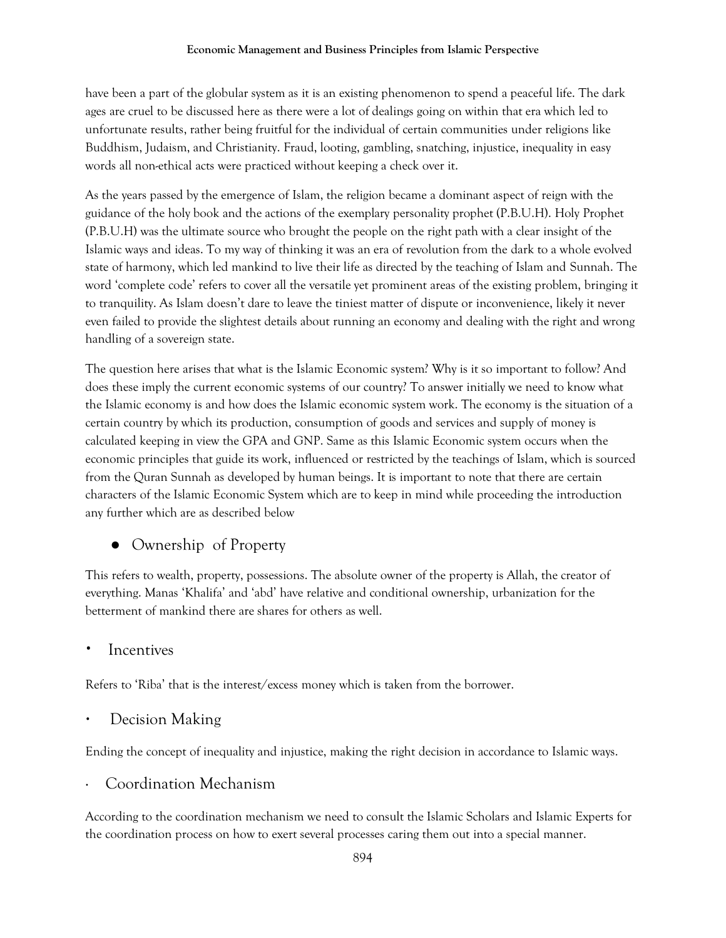have been a part of the globular system as it is an existing phenomenon to spend a peaceful life. The dark ages are cruel to be discussed here as there were a lot of dealings going on within that era which led to unfortunate results, rather being fruitful for the individual of certain communities under religions like Buddhism, Judaism, and Christianity. Fraud, looting, gambling, snatching, injustice, inequality in easy words all non-ethical acts were practiced without keeping a check over it.

As the years passed by the emergence of Islam, the religion became a dominant aspect of reign with the guidance of the holy book and the actions of the exemplary personality prophet (P.B.U.H). Holy Prophet (P.B.U.H) was the ultimate source who brought the people on the right path with a clear insight of the Islamic ways and ideas. To my way of thinking it was an era of revolution from the dark to a whole evolved state of harmony, which led mankind to live their life as directed by the teaching of Islam and Sunnah. The word 'complete code' refers to cover all the versatile yet prominent areas of the existing problem, bringing it to tranquility. As Islam doesn't dare to leave the tiniest matter of dispute or inconvenience, likely it never even failed to provide the slightest details about running an economy and dealing with the right and wrong handling of a sovereign state.

The question here arises that what is the Islamic Economic system? Why is it so important to follow? And does these imply the current economic systems of our country? To answer initially we need to know what the Islamic economy is and how does the Islamic economic system work. The economy is the situation of a certain country by which its production, consumption of goods and services and supply of money is calculated keeping in view the GPA and GNP. Same as this Islamic Economic system occurs when the economic principles that guide its work, influenced or restricted by the teachings of Islam, which is sourced from the Quran Sunnah as developed by human beings. It is important to note that there are certain characters of the Islamic Economic System which are to keep in mind while proceeding the introduction any further which are as described below

## • Ownership of Property

This refers to wealth, property, possessions. The absolute owner of the property is Allah, the creator of everything. Manas 'Khalifa' and 'abd' have relative and conditional ownership, urbanization for the betterment of mankind there are shares for others as well.

## **Incentives**

Refers to 'Riba' that is the interest/excess money which is taken from the borrower.

## Decision Making

Ending the concept of inequality and injustice, making the right decision in accordance to Islamic ways.

## Coordination Mechanism

According to the coordination mechanism we need to consult the Islamic Scholars and Islamic Experts for the coordination process on how to exert several processes caring them out into a special manner.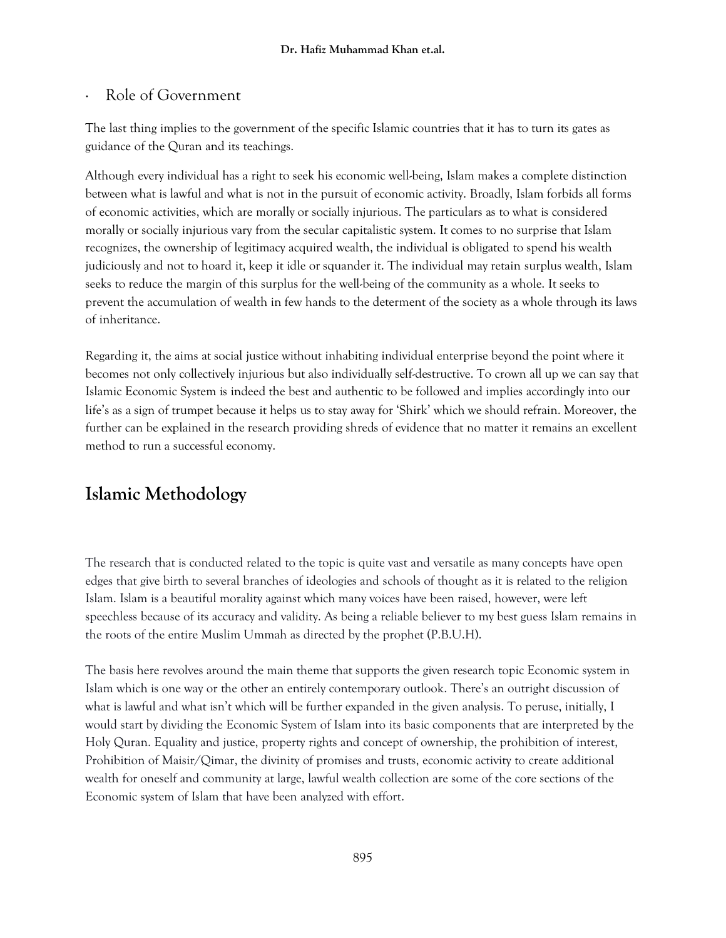### · Role of Government

The last thing implies to the government of the specific Islamic countries that it has to turn its gates as guidance of the Quran and its teachings.

Although every individual has a right to seek his economic well-being, Islam makes a complete distinction between what is lawful and what is not in the pursuit of economic activity. Broadly, Islam forbids all forms of economic activities, which are morally or socially injurious. The particulars as to what is considered morally or socially injurious vary from the secular capitalistic system. It comes to no surprise that Islam recognizes, the ownership of legitimacy acquired wealth, the individual is obligated to spend his wealth judiciously and not to hoard it, keep it idle or squander it. The individual may retain surplus wealth, Islam seeks to reduce the margin of this surplus for the well-being of the community as a whole. It seeks to prevent the accumulation of wealth in few hands to the determent of the society as a whole through its laws of inheritance.

Regarding it, the aims at social justice without inhabiting individual enterprise beyond the point where it becomes not only collectively injurious but also individually self-destructive. To crown all up we can say that Islamic Economic System is indeed the best and authentic to be followed and implies accordingly into our life's as a sign of trumpet because it helps us to stay away for 'Shirk' which we should refrain. Moreover, the further can be explained in the research providing shreds of evidence that no matter it remains an excellent method to run a successful economy.

# **Islamic Methodology**

The research that is conducted related to the topic is quite vast and versatile as many concepts have open edges that give birth to several branches of ideologies and schools of thought as it is related to the religion Islam. Islam is a beautiful morality against which many voices have been raised, however, were left speechless because of its accuracy and validity. As being a reliable believer to my best guess Islam remains in the roots of the entire Muslim Ummah as directed by the prophet (P.B.U.H).

The basis here revolves around the main theme that supports the given research topic Economic system in Islam which is one way or the other an entirely contemporary outlook. There's an outright discussion of what is lawful and what isn't which will be further expanded in the given analysis. To peruse, initially, I would start by dividing the Economic System of Islam into its basic components that are interpreted by the Holy Quran. Equality and justice, property rights and concept of ownership, the prohibition of interest, Prohibition of Maisir/Qimar, the divinity of promises and trusts, economic activity to create additional wealth for oneself and community at large, lawful wealth collection are some of the core sections of the Economic system of Islam that have been analyzed with effort.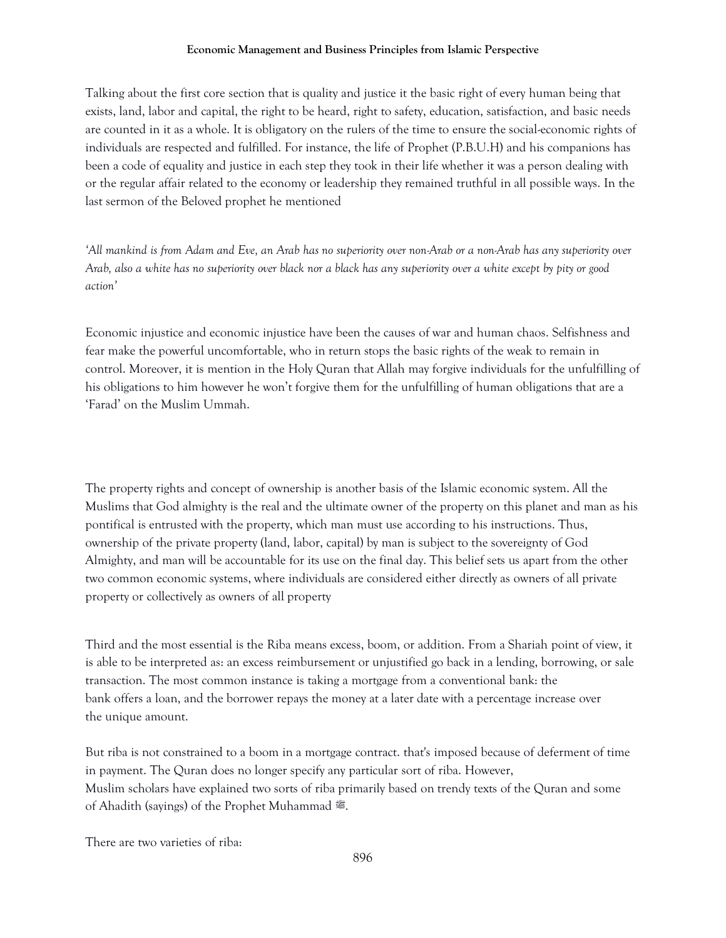Talking about the first core section that is quality and justice it the basic right of every human being that exists, land, labor and capital, the right to be heard, right to safety, education, satisfaction, and basic needs are counted in it as a whole. It is obligatory on the rulers of the time to ensure the social-economic rights of individuals are respected and fulfilled. For instance, the life of Prophet (P.B.U.H) and his companions has been a code of equality and justice in each step they took in their life whether it was a person dealing with or the regular affair related to the economy or leadership they remained truthful in all possible ways. In the last sermon of the Beloved prophet he mentioned

*'All mankind is from Adam and Eve, an Arab has no superiority over non-Arab or a non-Arab has any superiority over Arab, also a white has no superiority over black nor a black has any superiority over a white except by pity or good action'*

Economic injustice and economic injustice have been the causes of war and human chaos. Selfishness and fear make the powerful uncomfortable, who in return stops the basic rights of the weak to remain in control. Moreover, it is mention in the Holy Quran that Allah may forgive individuals for the unfulfilling of his obligations to him however he won't forgive them for the unfulfilling of human obligations that are a 'Farad' on the Muslim Ummah.

The property rights and concept of ownership is another basis of the Islamic economic system. All the Muslims that God almighty is the real and the ultimate owner of the property on this planet and man as his pontifical is entrusted with the property, which man must use according to his instructions. Thus, ownership of the private property (land, labor, capital) by man is subject to the sovereignty of God Almighty, and man will be accountable for its use on the final day. This belief sets us apart from the other two common economic systems, where individuals are considered either directly as owners of all private property or collectively as owners of all property

Third and the most essential is the Riba means excess, boom, or addition. From a Shariah point of view, it is able to be interpreted as: an excess reimbursement or unjustified go back in a lending, borrowing, or sale transaction. The most common instance is taking a mortgage from a conventional bank: the bank offers a loan, and the borrower repays the money at a later date with a percentage increase over the unique amount.

But riba is not constrained to a boom in a mortgage contract. that's imposed because of deferment of time in payment. The Quran does no longer specify any particular sort of riba. However, Muslim scholars have explained two sorts of riba primarily based on trendy texts of the Quran and some of Ahadith (sayings) of the Prophet Muhammad ...

There are two varieties of riba: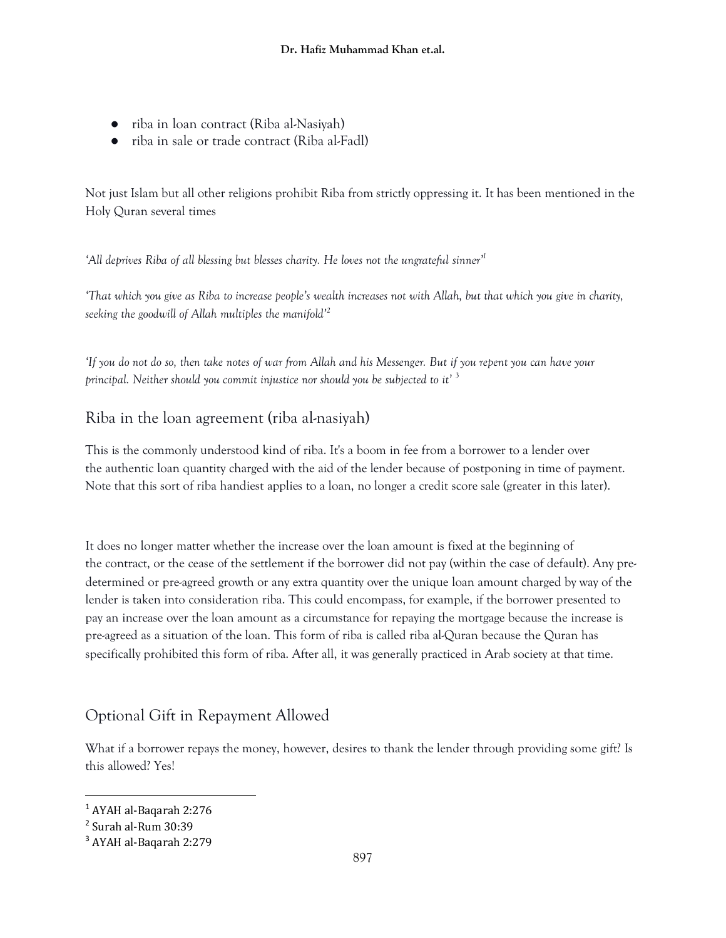- riba in loan contract (Riba al-Nasiyah)
- riba in sale or trade contract (Riba al-Fadl)

Not just Islam but all other religions prohibit Riba from strictly oppressing it. It has been mentioned in the Holy Quran several times

*'All deprives Riba of all blessing but blesses charity. He loves not the ungrateful sinner'<sup>1</sup>*

*'That which you give as Riba to increase people's wealth increases not with Allah, but that which you give in charity, seeking the goodwill of Allah multiples the manifold'<sup>2</sup>*

*'If you do not do so, then take notes of war from Allah and his Messenger. But if you repent you can have your principal. Neither should you commit injustice nor should you be subjected to it'* <sup>3</sup>

## Riba in the loan agreement (riba al-nasiyah)

This is the commonly understood kind of riba. It's a boom in fee from a borrower to a lender over the authentic loan quantity charged with the aid of the lender because of postponing in time of payment. Note that this sort of riba handiest applies to a loan, no longer a credit score sale (greater in this later).

It does no longer matter whether the increase over the loan amount is fixed at the beginning of the contract, or the cease of the settlement if the borrower did not pay (within the case of default). Any predetermined or pre-agreed growth or any extra quantity over the unique loan amount charged by way of the lender is taken into consideration riba. This could encompass, for example, if the borrower presented to pay an increase over the loan amount as a circumstance for repaying the mortgage because the increase is pre-agreed as a situation of the loan. This form of riba is called riba al-Quran because the Quran has specifically prohibited this form of riba. After all, it was generally practiced in Arab society at that time.

# Optional Gift in Repayment Allowed

What if a borrower repays the money, however, desires to thank the lender through providing some gift? Is this allowed? Yes!

 $\overline{\phantom{a}}$ 

<sup>1</sup> AYAH al-Baqarah 2:276

<sup>2</sup> Surah al-Rum 30:39

<sup>3</sup> AYAH al-Baqarah 2:279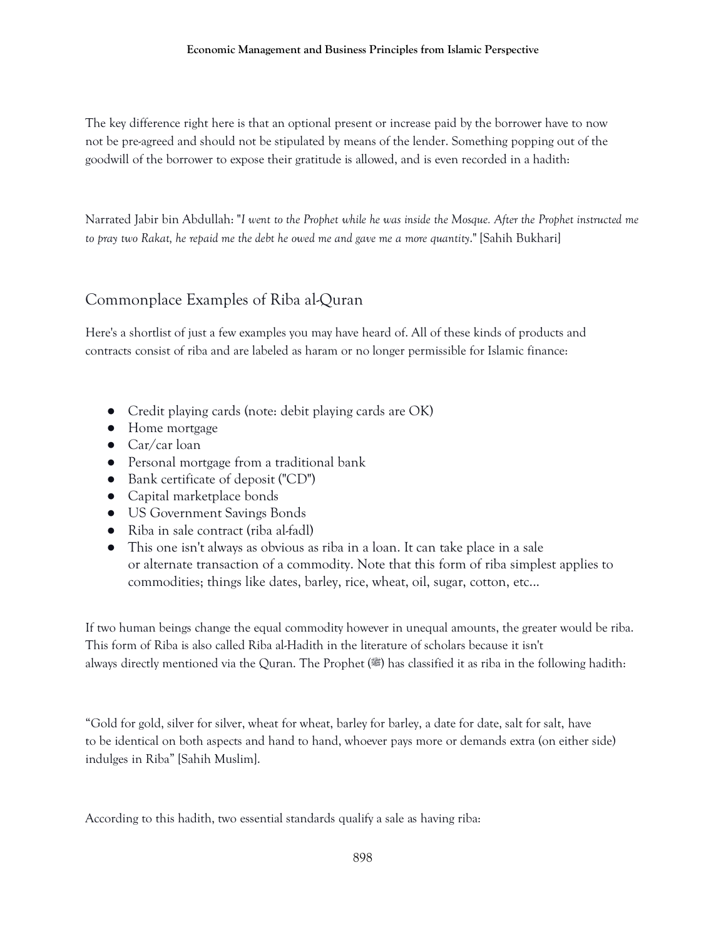The key difference right here is that an optional present or increase paid by the borrower have to now not be pre-agreed and should not be stipulated by means of the lender. Something popping out of the goodwill of the borrower to expose their gratitude is allowed, and is even recorded in a hadith:

Narrated Jabir bin Abdullah: "*I went to the Prophet while he was inside the Mosque. After the Prophet instructed me to pray two Rakat, he repaid me the debt he owed me and gave me a more quantity*." [Sahih Bukhari]

# Commonplace Examples of Riba al-Quran

Here's a shortlist of just a few examples you may have heard of. All of these kinds of products and contracts consist of riba and are labeled as haram or no longer permissible for Islamic finance:

- Credit playing cards (note: debit playing cards are OK)
- Home mortgage
- $\bullet$  Car/car loan
- Personal mortgage from a traditional bank
- Bank certificate of deposit ("CD")
- Capital marketplace bonds
- US Government Savings Bonds
- Riba in sale contract (riba al-fadl)
- This one isn't always as obvious as riba in a loan. It can take place in a sale or alternate transaction of a commodity. Note that this form of riba simplest applies to commodities; things like dates, barley, rice, wheat, oil, sugar, cotton, etc...

If two human beings change the equal commodity however in unequal amounts, the greater would be riba. This form of Riba is also called Riba al-Hadith in the literature of scholars because it isn't always directly mentioned via the Quran. The Prophet (.) has classified it as riba in the following hadith:

"Gold for gold, silver for silver, wheat for wheat, barley for barley, a date for date, salt for salt, have to be identical on both aspects and hand to hand, whoever pays more or demands extra (on either side) indulges in Riba" [Sahih Muslim].

According to this hadith, two essential standards qualify a sale as having riba: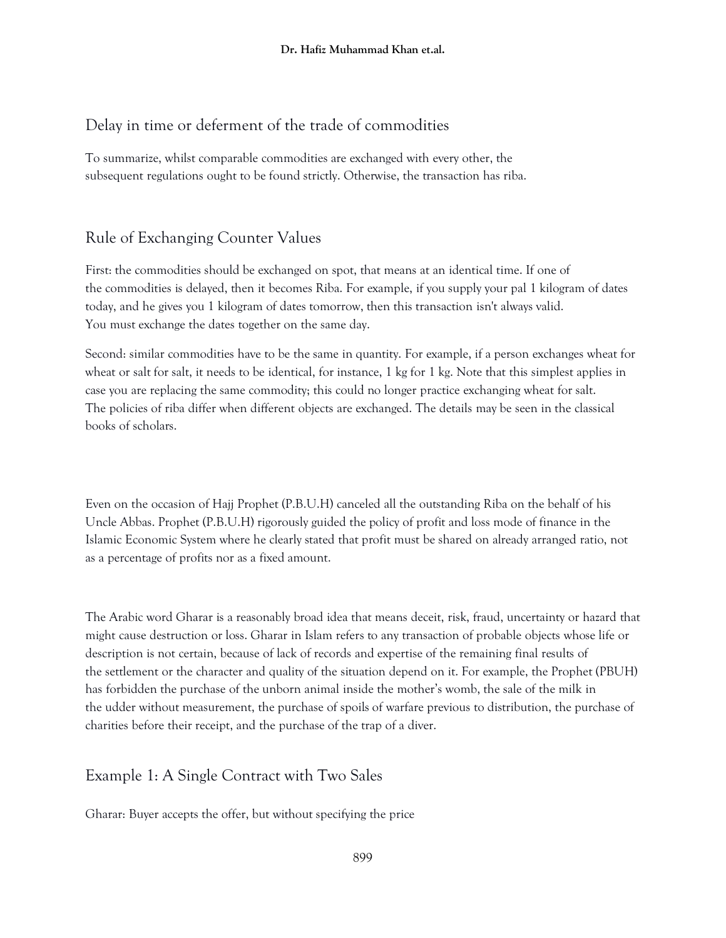# Delay in time or deferment of the trade of commodities

To summarize, whilst comparable commodities are exchanged with every other, the subsequent regulations ought to be found strictly. Otherwise, the transaction has riba.

# Rule of Exchanging Counter Values

First: the commodities should be exchanged on spot, that means at an identical time. If one of the commodities is delayed, then it becomes Riba. For example, if you supply your pal 1 kilogram of dates today, and he gives you 1 kilogram of dates tomorrow, then this transaction isn't always valid. You must exchange the dates together on the same day.

Second: similar commodities have to be the same in quantity. For example, if a person exchanges wheat for wheat or salt for salt, it needs to be identical, for instance, 1 kg for 1 kg. Note that this simplest applies in case you are replacing the same commodity; this could no longer practice exchanging wheat for salt. The policies of riba differ when different objects are exchanged. The details may be seen in the classical books of scholars.

Even on the occasion of Hajj Prophet (P.B.U.H) canceled all the outstanding Riba on the behalf of his Uncle Abbas. Prophet (P.B.U.H) rigorously guided the policy of profit and loss mode of finance in the Islamic Economic System where he clearly stated that profit must be shared on already arranged ratio, not as a percentage of profits nor as a fixed amount.

The Arabic word Gharar is a reasonably broad idea that means deceit, risk, fraud, uncertainty or hazard that might cause destruction or loss. Gharar in Islam refers to any transaction of probable objects whose life or description is not certain, because of lack of records and expertise of the remaining final results of the settlement or the character and quality of the situation depend on it. For example, the Prophet (PBUH) has forbidden the purchase of the unborn animal inside the mother's womb, the sale of the milk in the udder without measurement, the purchase of spoils of warfare previous to distribution, the purchase of charities before their receipt, and the purchase of the trap of a diver.

# Example 1: A Single Contract with Two Sales

Gharar: Buyer accepts the offer, but without specifying the price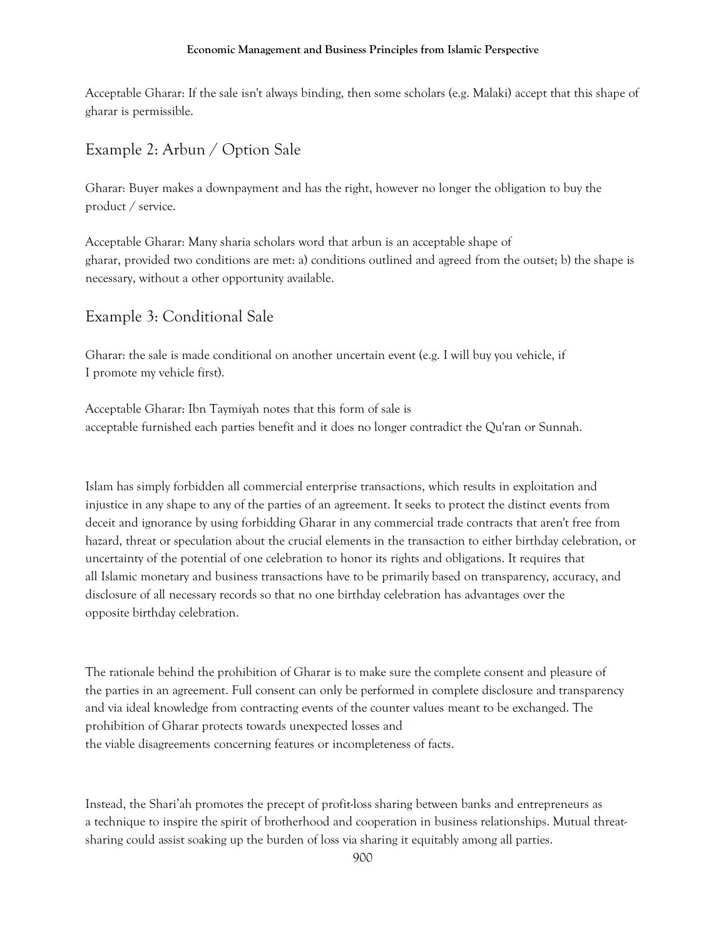Acceptable Gharar: If the sale isn't always binding, then some scholars (e.g. Malaki) accept that this shape of gharar is permissible.

# Example 2: Arbun / Option Sale

Gharar: Buyer makes a downpayment and has the right, however no longer the obligation to buy the product / service.

Acceptable Gharar: Many sharia scholars word that arbun is an acceptable shape of gharar, provided two conditions are met: a) conditions outlined and agreed from the outset; b) the shape is necessary, without a other opportunity available.

### Example 3: Conditional Sale

Gharar: the sale is made conditional on another uncertain event (e.g. I will buy you vehicle, if I promote my vehicle first).

Acceptable Gharar: Ibn Taymiyah notes that this form of sale is acceptable furnished each parties benefit and it does no longer contradict the Qu'ran or Sunnah.

Islam has simply forbidden all commercial enterprise transactions, which results in exploitation and injustice in any shape to any of the parties of an agreement. It seeks to protect the distinct events from deceit and ignorance by using forbidding Gharar in any commercial trade contracts that aren't free from hazard, threat or speculation about the crucial elements in the transaction to either birthday celebration, or uncertainty of the potential of one celebration to honor its rights and obligations. It requires that all Islamic monetary and business transactions have to be primarily based on transparency, accuracy, and disclosure of all necessary records so that no one birthday celebration has advantages over the opposite birthday celebration.

The rationale behind the prohibition of Gharar is to make sure the complete consent and pleasure of the parties in an agreement. Full consent can only be performed in complete disclosure and transparency and via ideal knowledge from contracting events of the counter values meant to be exchanged. The prohibition of Gharar protects towards unexpected losses and the viable disagreements concerning features or incompleteness of facts.

Instead, the Shari'ah promotes the precept of profit-loss sharing between banks and entrepreneurs as a technique to inspire the spirit of brotherhood and cooperation in business relationships. Mutual threatsharing could assist soaking up the burden of loss via sharing it equitably among all parties.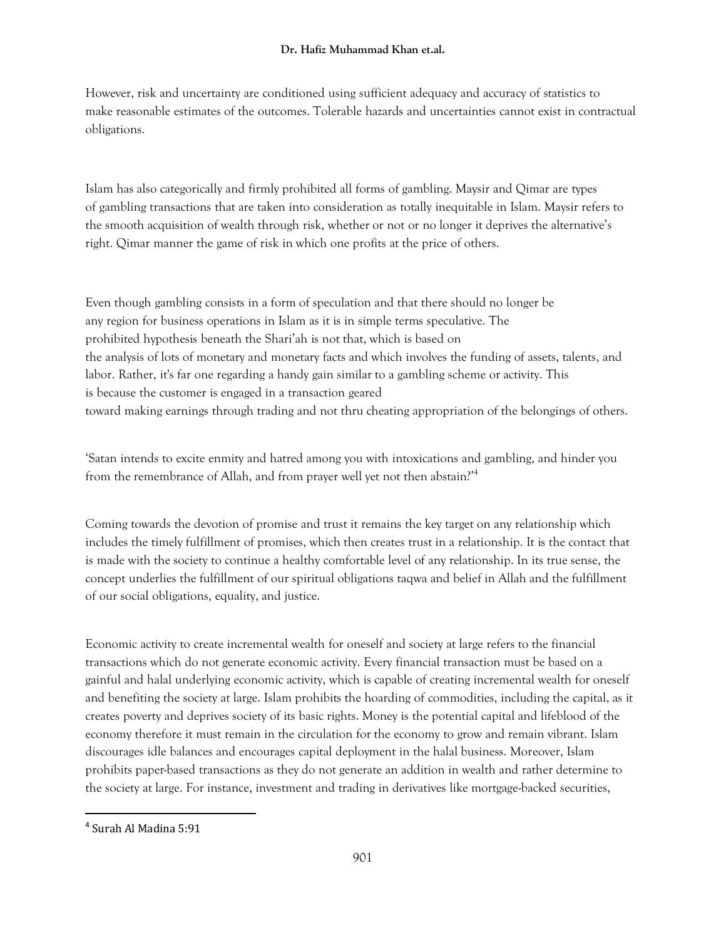#### **Dr. Hafiz Muhammad Khan et.al.**

However, risk and uncertainty are conditioned using sufficient adequacy and accuracy of statistics to make reasonable estimates of the outcomes. Tolerable hazards and uncertainties cannot exist in contractual obligations.

Islam has also categorically and firmly prohibited all forms of gambling. Maysir and Qimar are types of gambling transactions that are taken into consideration as totally inequitable in Islam. Maysir refers to the smooth acquisition of wealth through risk, whether or not or no longer it deprives the alternative's right. Qimar manner the game of risk in which one profits at the price of others.

Even though gambling consists in a form of speculation and that there should no longer be any region for business operations in Islam as it is in simple terms speculative. The prohibited hypothesis beneath the Shari'ah is not that, which is based on the analysis of lots of monetary and monetary facts and which involves the funding of assets, talents, and labor. Rather, it's far one regarding a handy gain similar to a gambling scheme or activity. This is because the customer is engaged in a transaction geared toward making earnings through trading and not thru cheating appropriation of the belongings of others.

'Satan intends to excite enmity and hatred among you with intoxications and gambling, and hinder you from the remembrance of Allah, and from prayer well yet not then abstain?'<sup>4</sup>

Coming towards the devotion of promise and trust it remains the key target on any relationship which includes the timely fulfillment of promises, which then creates trust in a relationship. It is the contact that is made with the society to continue a healthy comfortable level of any relationship. In its true sense, the concept underlies the fulfillment of our spiritual obligations taqwa and belief in Allah and the fulfillment of our social obligations, equality, and justice.

Economic activity to create incremental wealth for oneself and society at large refers to the financial transactions which do not generate economic activity. Every financial transaction must be based on a gainful and halal underlying economic activity, which is capable of creating incremental wealth for oneself and benefiting the society at large. Islam prohibits the hoarding of commodities, including the capital, as it creates poverty and deprives society of its basic rights. Money is the potential capital and lifeblood of the economy therefore it must remain in the circulation for the economy to grow and remain vibrant. Islam discourages idle balances and encourages capital deployment in the halal business. Moreover, Islam prohibits paper-based transactions as they do not generate an addition in wealth and rather determine to the society at large. For instance, investment and trading in derivatives like mortgage-backed securities,

 $\overline{\phantom{a}}$ 

<sup>4</sup> Surah Al Madina 5:91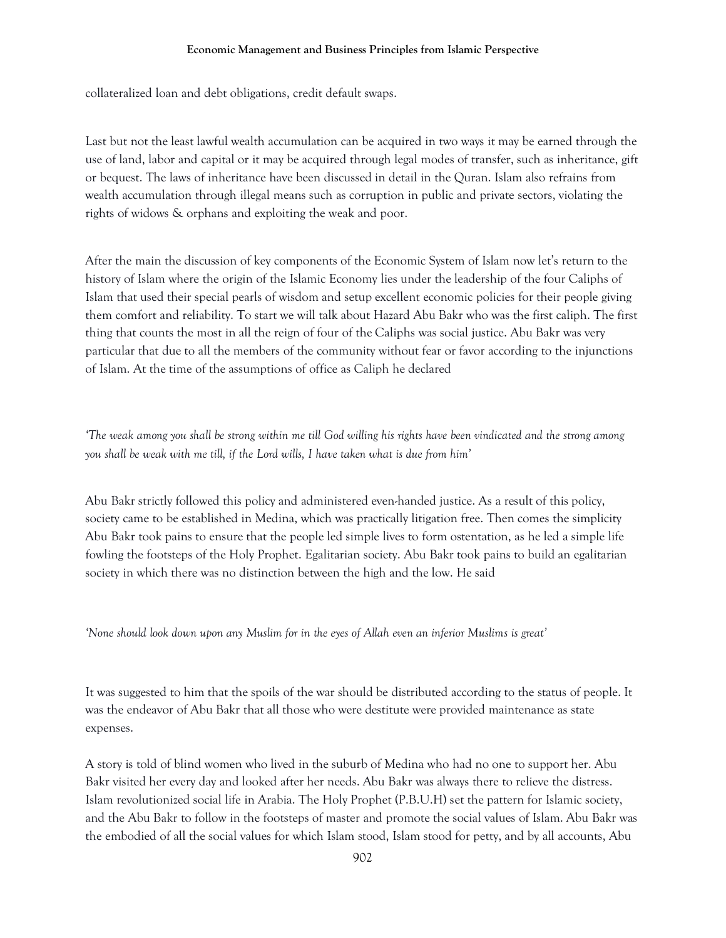collateralized loan and debt obligations, credit default swaps.

Last but not the least lawful wealth accumulation can be acquired in two ways it may be earned through the use of land, labor and capital or it may be acquired through legal modes of transfer, such as inheritance, gift or bequest. The laws of inheritance have been discussed in detail in the Quran. Islam also refrains from wealth accumulation through illegal means such as corruption in public and private sectors, violating the rights of widows & orphans and exploiting the weak and poor.

After the main the discussion of key components of the Economic System of Islam now let's return to the history of Islam where the origin of the Islamic Economy lies under the leadership of the four Caliphs of Islam that used their special pearls of wisdom and setup excellent economic policies for their people giving them comfort and reliability. To start we will talk about Hazard Abu Bakr who was the first caliph. The first thing that counts the most in all the reign of four of the Caliphs was social justice. Abu Bakr was very particular that due to all the members of the community without fear or favor according to the injunctions of Islam. At the time of the assumptions of office as Caliph he declared

*'The weak among you shall be strong within me till God willing his rights have been vindicated and the strong among you shall be weak with me till, if the Lord wills, I have taken what is due from him'*

Abu Bakr strictly followed this policy and administered even-handed justice. As a result of this policy, society came to be established in Medina, which was practically litigation free. Then comes the simplicity Abu Bakr took pains to ensure that the people led simple lives to form ostentation, as he led a simple life fowling the footsteps of the Holy Prophet. Egalitarian society. Abu Bakr took pains to build an egalitarian society in which there was no distinction between the high and the low. He said

*'None should look down upon any Muslim for in the eyes of Allah even an inferior Muslims is great'*

It was suggested to him that the spoils of the war should be distributed according to the status of people. It was the endeavor of Abu Bakr that all those who were destitute were provided maintenance as state expenses.

A story is told of blind women who lived in the suburb of Medina who had no one to support her. Abu Bakr visited her every day and looked after her needs. Abu Bakr was always there to relieve the distress. Islam revolutionized social life in Arabia. The Holy Prophet (P.B.U.H) set the pattern for Islamic society, and the Abu Bakr to follow in the footsteps of master and promote the social values of Islam. Abu Bakr was the embodied of all the social values for which Islam stood, Islam stood for petty, and by all accounts, Abu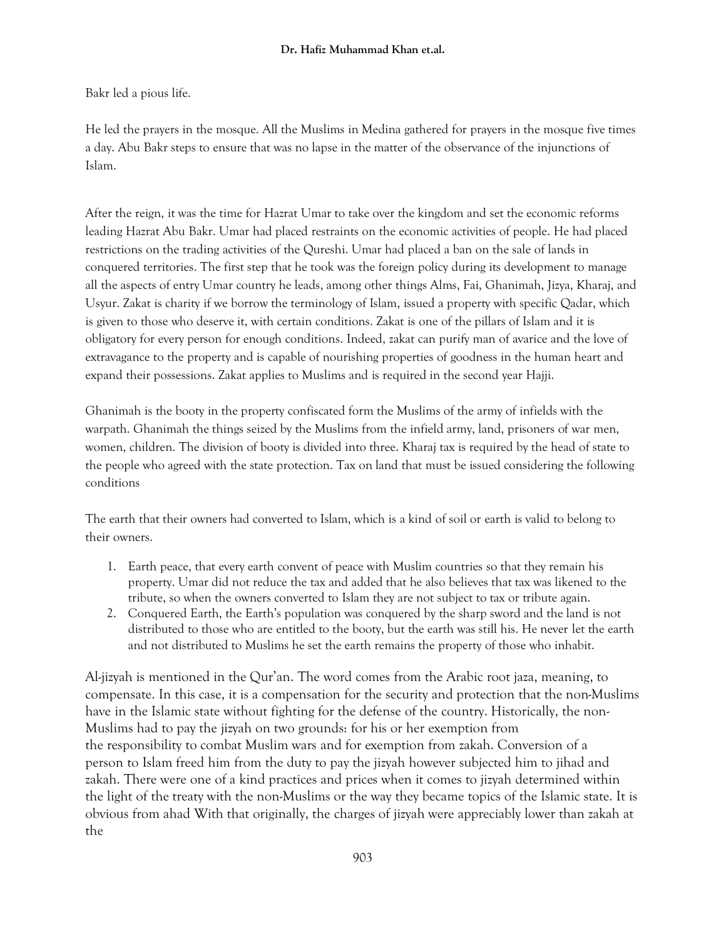Bakr led a pious life.

He led the prayers in the mosque. All the Muslims in Medina gathered for prayers in the mosque five times a day. Abu Bakr steps to ensure that was no lapse in the matter of the observance of the injunctions of Islam.

After the reign, it was the time for Hazrat Umar to take over the kingdom and set the economic reforms leading Hazrat Abu Bakr. Umar had placed restraints on the economic activities of people. He had placed restrictions on the trading activities of the Qureshi. Umar had placed a ban on the sale of lands in conquered territories. The first step that he took was the foreign policy during its development to manage all the aspects of entry Umar country he leads, among other things Alms, Fai, Ghanimah, Jizya, Kharaj, and Usyur. Zakat is charity if we borrow the terminology of Islam, issued a property with specific Qadar, which is given to those who deserve it, with certain conditions. Zakat is one of the pillars of Islam and it is obligatory for every person for enough conditions. Indeed, zakat can purify man of avarice and the love of extravagance to the property and is capable of nourishing properties of goodness in the human heart and expand their possessions. Zakat applies to Muslims and is required in the second year Hajji.

Ghanimah is the booty in the property confiscated form the Muslims of the army of infields with the warpath. Ghanimah the things seized by the Muslims from the infield army, land, prisoners of war men, women, children. The division of booty is divided into three. Kharaj tax is required by the head of state to the people who agreed with the state protection. Tax on land that must be issued considering the following conditions

The earth that their owners had converted to Islam, which is a kind of soil or earth is valid to belong to their owners.

- 1. Earth peace, that every earth convent of peace with Muslim countries so that they remain his property. Umar did not reduce the tax and added that he also believes that tax was likened to the tribute, so when the owners converted to Islam they are not subject to tax or tribute again.
- 2. Conquered Earth, the Earth's population was conquered by the sharp sword and the land is not distributed to those who are entitled to the booty, but the earth was still his. He never let the earth and not distributed to Muslims he set the earth remains the property of those who inhabit.

Al-jizyah is mentioned in the Qur'an. The word comes from the Arabic root jaza, meaning, to compensate. In this case, it is a compensation for the security and protection that the non-Muslims have in the Islamic state without fighting for the defense of the country. Historically, the non-Muslims had to pay the jizyah on two grounds: for his or her exemption from the responsibility to combat Muslim wars and for exemption from zakah. Conversion of a person to Islam freed him from the duty to pay the jizyah however subjected him to jihad and zakah. There were one of a kind practices and prices when it comes to jizyah determined within the light of the treaty with the non-Muslims or the way they became topics of the Islamic state. It is obvious from ahad With that originally, the charges of jizyah were appreciably lower than zakah at the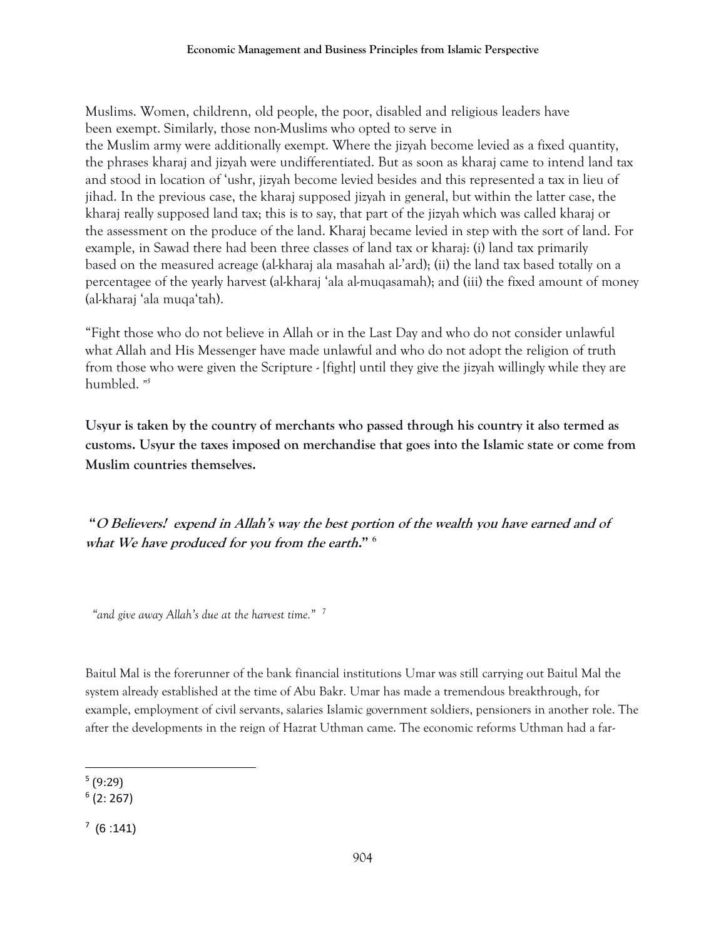Muslims. Women, childrenn, old people, the poor, disabled and religious leaders have been exempt. Similarly, those non-Muslims who opted to serve in the Muslim army were additionally exempt. Where the jizyah become levied as a fixed quantity, the phrases kharaj and jizyah were undifferentiated. But as soon as kharaj came to intend land tax and stood in location of 'ushr, jizyah become levied besides and this represented a tax in lieu of jihad. In the previous case, the kharaj supposed jizyah in general, but within the latter case, the kharaj really supposed land tax; this is to say, that part of the jizyah which was called kharaj or the assessment on the produce of the land. Kharaj became levied in step with the sort of land. For example, in Sawad there had been three classes of land tax or kharaj: (i) land tax primarily based on the measured acreage (al-kharaj ala masahah al-'ard); (ii) the land tax based totally on a percentagee of the yearly harvest (al-kharaj 'ala al-muqasamah); and (iii) the fixed amount of money (al-kharaj 'ala muqa'tah).

"Fight those who do not believe in Allah or in the Last Day and who do not consider unlawful what Allah and His Messenger have made unlawful and who do not adopt the religion of truth from those who were given the Scripture - [fight] until they give the jizyah willingly while they are humbled. *" 5*

**Usyur is taken by the country of merchants who passed through his country it also termed as customs. Usyur the taxes imposed on merchandise that goes into the Islamic state or come from Muslim countries themselves.**

**"O Believers! expend in Allah's way the best portion of the wealth you have earned and of what We have produced for you from the earth." <sup>6</sup>**

*"and give away Allah's due at the harvest time." 7*

Baitul Mal is the forerunner of the bank financial institutions Umar was still carrying out Baitul Mal the system already established at the time of Abu Bakr. Umar has made a tremendous breakthrough, for example, employment of civil servants, salaries Islamic government soldiers, pensioners in another role. The after the developments in the reign of Hazrat Uthman came. The economic reforms Uthman had a far-

 $\overline{a}$ 5 (9:29)

<sup>6</sup> (2: 267)

 $(6:141)$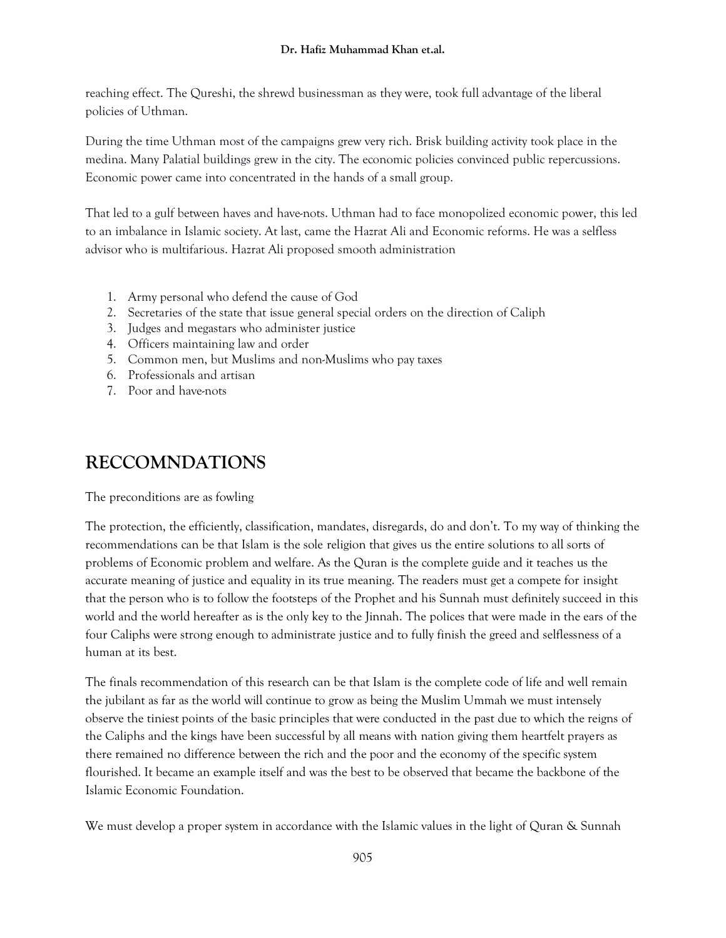#### **Dr. Hafiz Muhammad Khan et.al.**

reaching effect. The Qureshi, the shrewd businessman as they were, took full advantage of the liberal policies of Uthman.

During the time Uthman most of the campaigns grew very rich. Brisk building activity took place in the medina. Many Palatial buildings grew in the city. The economic policies convinced public repercussions. Economic power came into concentrated in the hands of a small group.

That led to a gulf between haves and have-nots. Uthman had to face monopolized economic power, this led to an imbalance in Islamic society. At last, came the Hazrat Ali and Economic reforms. He was a selfless advisor who is multifarious. Hazrat Ali proposed smooth administration

- 1. Army personal who defend the cause of God
- 2. Secretaries of the state that issue general special orders on the direction of Caliph
- 3. Judges and megastars who administer justice
- 4. Officers maintaining law and order
- 5. Common men, but Muslims and non-Muslims who pay taxes
- 6. Professionals and artisan
- 7. Poor and have-nots

# **RECCOMNDATIONS**

The preconditions are as fowling

The protection, the efficiently, classification, mandates, disregards, do and don't. To my way of thinking the recommendations can be that Islam is the sole religion that gives us the entire solutions to all sorts of problems of Economic problem and welfare. As the Quran is the complete guide and it teaches us the accurate meaning of justice and equality in its true meaning. The readers must get a compete for insight that the person who is to follow the footsteps of the Prophet and his Sunnah must definitely succeed in this world and the world hereafter as is the only key to the Jinnah. The polices that were made in the ears of the four Caliphs were strong enough to administrate justice and to fully finish the greed and selflessness of a human at its best.

The finals recommendation of this research can be that Islam is the complete code of life and well remain the jubilant as far as the world will continue to grow as being the Muslim Ummah we must intensely observe the tiniest points of the basic principles that were conducted in the past due to which the reigns of the Caliphs and the kings have been successful by all means with nation giving them heartfelt prayers as there remained no difference between the rich and the poor and the economy of the specific system flourished. It became an example itself and was the best to be observed that became the backbone of the Islamic Economic Foundation.

We must develop a proper system in accordance with the Islamic values in the light of Quran & Sunnah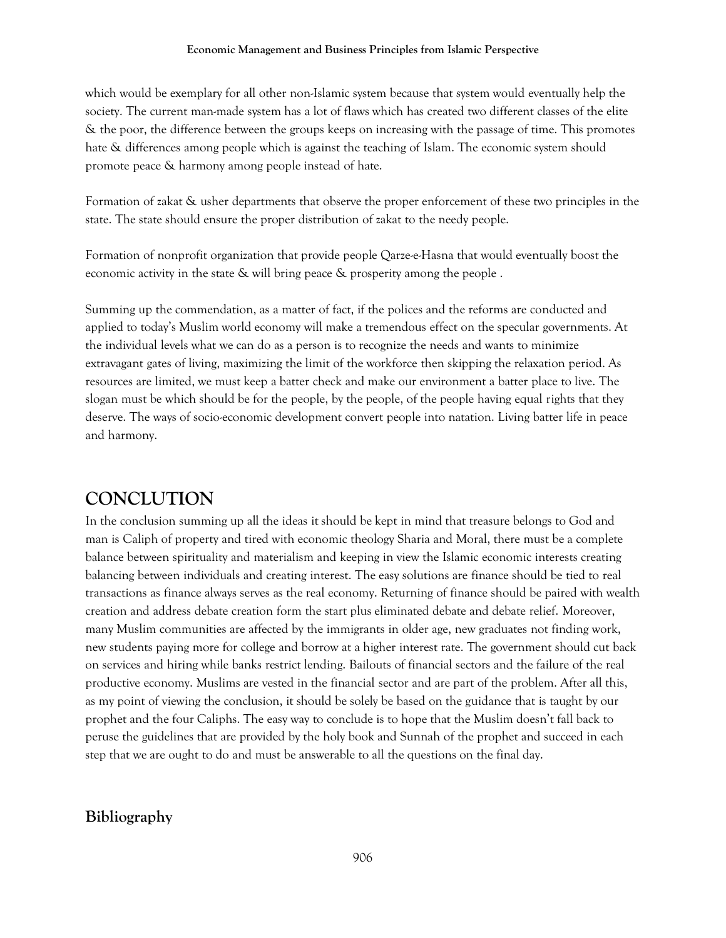which would be exemplary for all other non-Islamic system because that system would eventually help the society. The current man-made system has a lot of flaws which has created two different classes of the elite & the poor, the difference between the groups keeps on increasing with the passage of time. This promotes hate & differences among people which is against the teaching of Islam. The economic system should promote peace & harmony among people instead of hate.

Formation of zakat & usher departments that observe the proper enforcement of these two principles in the state. The state should ensure the proper distribution of zakat to the needy people.

Formation of nonprofit organization that provide people Qarze-e-Hasna that would eventually boost the economic activity in the state & will bring peace & prosperity among the people .

Summing up the commendation, as a matter of fact, if the polices and the reforms are conducted and applied to today's Muslim world economy will make a tremendous effect on the specular governments. At the individual levels what we can do as a person is to recognize the needs and wants to minimize extravagant gates of living, maximizing the limit of the workforce then skipping the relaxation period. As resources are limited, we must keep a batter check and make our environment a batter place to live. The slogan must be which should be for the people, by the people, of the people having equal rights that they deserve. The ways of socio-economic development convert people into natation. Living batter life in peace and harmony.

# **CONCLUTION**

In the conclusion summing up all the ideas it should be kept in mind that treasure belongs to God and man is Caliph of property and tired with economic theology Sharia and Moral, there must be a complete balance between spirituality and materialism and keeping in view the Islamic economic interests creating balancing between individuals and creating interest. The easy solutions are finance should be tied to real transactions as finance always serves as the real economy. Returning of finance should be paired with wealth creation and address debate creation form the start plus eliminated debate and debate relief. Moreover, many Muslim communities are affected by the immigrants in older age, new graduates not finding work, new students paying more for college and borrow at a higher interest rate. The government should cut back on services and hiring while banks restrict lending. Bailouts of financial sectors and the failure of the real productive economy. Muslims are vested in the financial sector and are part of the problem. After all this, as my point of viewing the conclusion, it should be solely be based on the guidance that is taught by our prophet and the four Caliphs. The easy way to conclude is to hope that the Muslim doesn't fall back to peruse the guidelines that are provided by the holy book and Sunnah of the prophet and succeed in each step that we are ought to do and must be answerable to all the questions on the final day.

### **Bibliography**